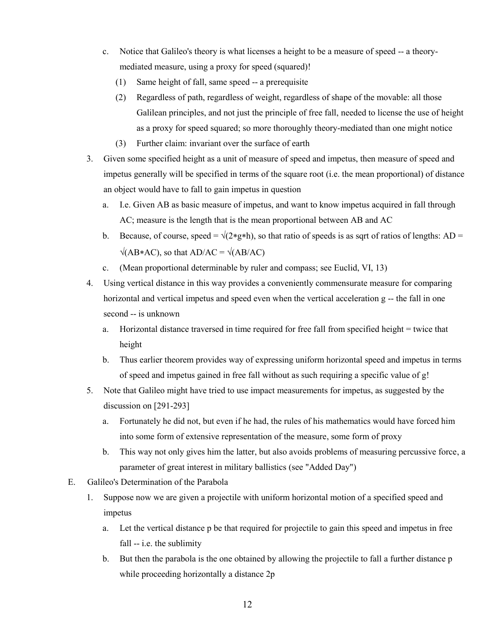- c. Notice that Galileo's theory is what licenses a height to be a measure of speed -- a theorymediated measure, using a proxy for speed (squared)!
	- (1) Same height of fall, same speed -- a prerequisite
	- (2) Regardless of path, regardless of weight, regardless of shape of the movable: all those Galilean principles, and not just the principle of free fall, needed to license the use of height as a proxy for speed squared; so more thoroughly theory-mediated than one might notice
	- (3) Further claim: invariant over the surface of earth
- 3. Given some specified height as a unit of measure of speed and impetus, then measure of speed and impetus generally will be specified in terms of the square root (i.e. the mean proportional) of distance an object would have to fall to gain impetus in question
	- a. I.e. Given AB as basic measure of impetus, and want to know impetus acquired in fall through AC; measure is the length that is the mean proportional between AB and AC
	- b. Because, of course, speed =  $\sqrt{(2 \cdot g \cdot h)}$ , so that ratio of speeds is as sqrt of ratios of lengths: AD =  $\sqrt{(AB*AC)}$ , so that AD/AC =  $\sqrt{(AB/AC)}$
	- c. (Mean proportional determinable by ruler and compass; see Euclid, VI, 13)
- 4. Using vertical distance in this way provides a conveniently commensurate measure for comparing horizontal and vertical impetus and speed even when the vertical acceleration g -- the fall in one second -- is unknown
	- a. Horizontal distance traversed in time required for free fall from specified height = twice that height
	- b. Thus earlier theorem provides way of expressing uniform horizontal speed and impetus in terms of speed and impetus gained in free fall without as such requiring a specific value of g!
- 5. Note that Galileo might have tried to use impact measurements for impetus, as suggested by the discussion on [291-293]
	- a. Fortunately he did not, but even if he had, the rules of his mathematics would have forced him into some form of extensive representation of the measure, some form of proxy
	- b. This way not only gives him the latter, but also avoids problems of measuring percussive force, a parameter of great interest in military ballistics (see "Added Day")
- E. Galileo's Determination of the Parabola
	- 1. Suppose now we are given a projectile with uniform horizontal motion of a specified speed and impetus
		- a. Let the vertical distance p be that required for projectile to gain this speed and impetus in free fall -- i.e. the sublimity
		- b. But then the parabola is the one obtained by allowing the projectile to fall a further distance p while proceeding horizontally a distance 2p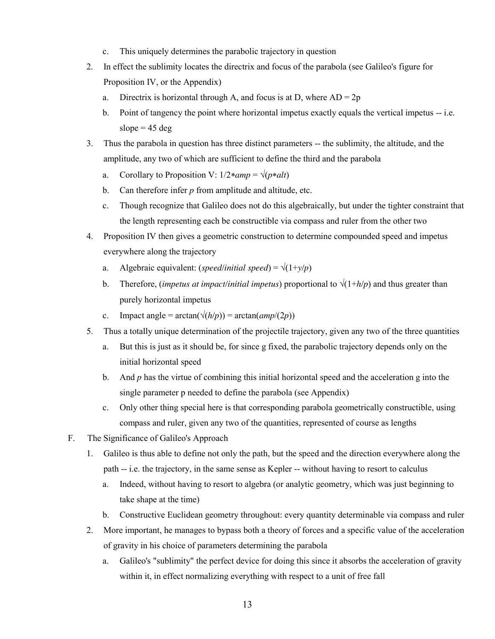- c. This uniquely determines the parabolic trajectory in question
- 2. In effect the sublimity locates the directrix and focus of the parabola (see Galileo's figure for Proposition IV, or the Appendix)
	- a. Directrix is horizontal through A, and focus is at D, where  $AD = 2p$
	- b. Point of tangency the point where horizontal impetus exactly equals the vertical impetus -- i.e. slope  $= 45$  deg
- 3. Thus the parabola in question has three distinct parameters -- the sublimity, the altitude, and the amplitude, any two of which are sufficient to define the third and the parabola
	- a. Corollary to Proposition V:  $1/2 * amp = \sqrt{(p * alt)}$
	- b. Can therefore infer *p* from amplitude and altitude, etc.
	- c. Though recognize that Galileo does not do this algebraically, but under the tighter constraint that the length representing each be constructible via compass and ruler from the other two
- 4. Proposition IV then gives a geometric construction to determine compounded speed and impetus everywhere along the trajectory
	- a. Algebraic equivalent: (*speed/initial speed*) =  $\sqrt{(1+y/p)}$
	- b. Therefore, *(impetus at impact/initial impetus)* proportional to  $\sqrt{(1+h/p)}$  and thus greater than purely horizontal impetus
	- c. Impact angle =  $\arctan(\sqrt{(h/p)})$  =  $\arctan(\frac{amp}{(2p)})$
- 5. Thus a totally unique determination of the projectile trajectory, given any two of the three quantities
	- a. But this is just as it should be, for since g fixed, the parabolic trajectory depends only on the initial horizontal speed
	- b. And *p* has the virtue of combining this initial horizontal speed and the acceleration g into the single parameter p needed to define the parabola (see Appendix)
	- c. Only other thing special here is that corresponding parabola geometrically constructible, using compass and ruler, given any two of the quantities, represented of course as lengths
- F. The Significance of Galileo's Approach
	- 1. Galileo is thus able to define not only the path, but the speed and the direction everywhere along the path -- i.e. the trajectory, in the same sense as Kepler -- without having to resort to calculus
		- a. Indeed, without having to resort to algebra (or analytic geometry, which was just beginning to take shape at the time)
		- b. Constructive Euclidean geometry throughout: every quantity determinable via compass and ruler
	- 2. More important, he manages to bypass both a theory of forces and a specific value of the acceleration of gravity in his choice of parameters determining the parabola
		- a. Galileo's "sublimity" the perfect device for doing this since it absorbs the acceleration of gravity within it, in effect normalizing everything with respect to a unit of free fall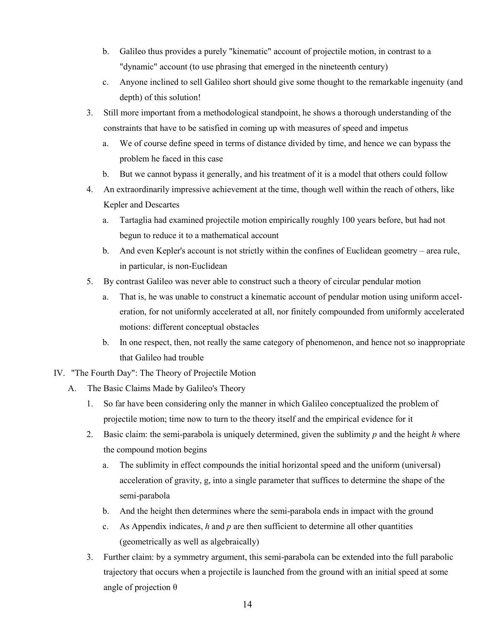- b. Galileo thus provides a purely "kinematic" account of projectile motion, in contrast to a "dynamic" account (to use phrasing that emerged in the nineteenth century)
- c. Anyone inclined to sell Galileo short should give some thought to the remarkable ingenuity (and depth) of this solution!
- 3. Still more important from a methodological standpoint, he shows a thorough understanding of the constraints that have to be satisfied in coming up with measures of speed and impetus
	- a. We of course define speed in terms of distance divided by time, and hence we can bypass the problem he faced in this case
	- b. But we cannot bypass it generally, and his treatment of it is a model that others could follow
- 4. An extraordinarily impressive achievement at the time, though well within the reach of others, like Kepler and Descartes
	- a. Tartaglia had examined projectile motion empirically roughly 100 years before, but had not begun to reduce it to a mathematical account
	- b. And even Kepler's account is not strictly within the confines of Euclidean geometry area rule, in particular, is non-Euclidean
- 5. By contrast Galileo was never able to construct such a theory of circular pendular motion
	- a. That is, he was unable to construct a kinematic account of pendular motion using uniform acceleration, for not uniformly accelerated at all, nor finitely compounded from uniformly accelerated motions: different conceptual obstacles
	- b. In one respect, then, not really the same category of phenomenon, and hence not so inappropriate that Galileo had trouble
- IV. "The Fourth Day": The Theory of Projectile Motion
	- A. The Basic Claims Made by Galileo's Theory
		- 1. So far have been considering only the manner in which Galileo conceptualized the problem of projectile motion; time now to turn to the theory itself and the empirical evidence for it
		- 2. Basic claim: the semi-parabola is uniquely determined, given the sublimity *p* and the height *h* where the compound motion begins
			- a. The sublimity in effect compounds the initial horizontal speed and the uniform (universal) acceleration of gravity, g, into a single parameter that suffices to determine the shape of the semi-parabola
			- b. And the height then determines where the semi-parabola ends in impact with the ground
			- c. As Appendix indicates, *h* and *p* are then sufficient to determine all other quantities (geometrically as well as algebraically)
		- 3. Further claim: by a symmetry argument, this semi-parabola can be extended into the full parabolic trajectory that occurs when a projectile is launched from the ground with an initial speed at some angle of projection θ